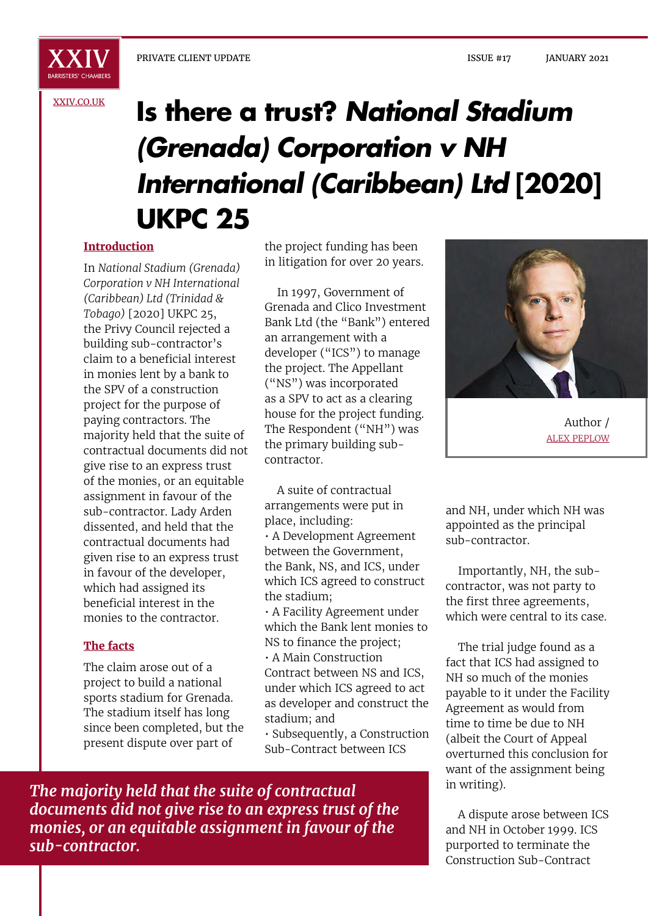

**XXIV** 

### [XXIV.CO.UK](http://xxiv.co.uk)

# **Is there a trust?** *National Stadium (Grenada) Corporation v NH International (Caribbean) Ltd* **[2020] UKPC 25**

## **Introduction**

In *National Stadium (Grenada) Corporation v NH International (Caribbean) Ltd (Trinidad & Tobago)* [2020] UKPC 25, the Privy Council rejected a building sub-contractor's claim to a beneficial interest in monies lent by a bank to the SPV of a construction project for the purpose of paying contractors. The majority held that the suite of contractual documents did not give rise to an express trust of the monies, or an equitable assignment in favour of the sub-contractor. Lady Arden dissented, and held that the contractual documents had given rise to an express trust in favour of the developer, which had assigned its beneficial interest in the monies to the contractor.

#### **The facts**

The claim arose out of a project to build a national sports stadium for Grenada. The stadium itself has long since been completed, but the present dispute over part of

the project funding has been in litigation for over 20 years.

In 1997, Government of Grenada and Clico Investment Bank Ltd (the "Bank") entered an arrangement with a developer ("ICS") to manage the project. The Appellant ("NS") was incorporated as a SPV to act as a clearing house for the project funding. The Respondent ("NH") was the primary building subcontractor.

A suite of contractual arrangements were put in place, including: • A Development Agreement between the Government, the Bank, NS, and ICS, under which ICS agreed to construct the stadium;

• A Facility Agreement under which the Bank lent monies to NS to finance the project;

• A Main Construction Contract between NS and ICS, under which ICS agreed to act as developer and construct the stadium; and

• Subsequently, a Construction Sub-Contract between ICS



Author / ALEX PEPLOW

and NH, under which NH was appointed as the principal sub-contractor.

Importantly, NH, the subcontractor, was not party to the first three agreements, which were central to its case.

The trial judge found as a fact that ICS had assigned to NH so much of the monies payable to it under the Facility Agreement as would from time to time be due to NH (albeit the Court of Appeal overturned this conclusion for want of the assignment being in writing).

A dispute arose between ICS and NH in October 1999. ICS purported to terminate the Construction Sub-Contract

*The majority held that the suite of contractual documents did not give rise to an express trust of the monies, or an equitable assignment in favour of the sub-contractor.*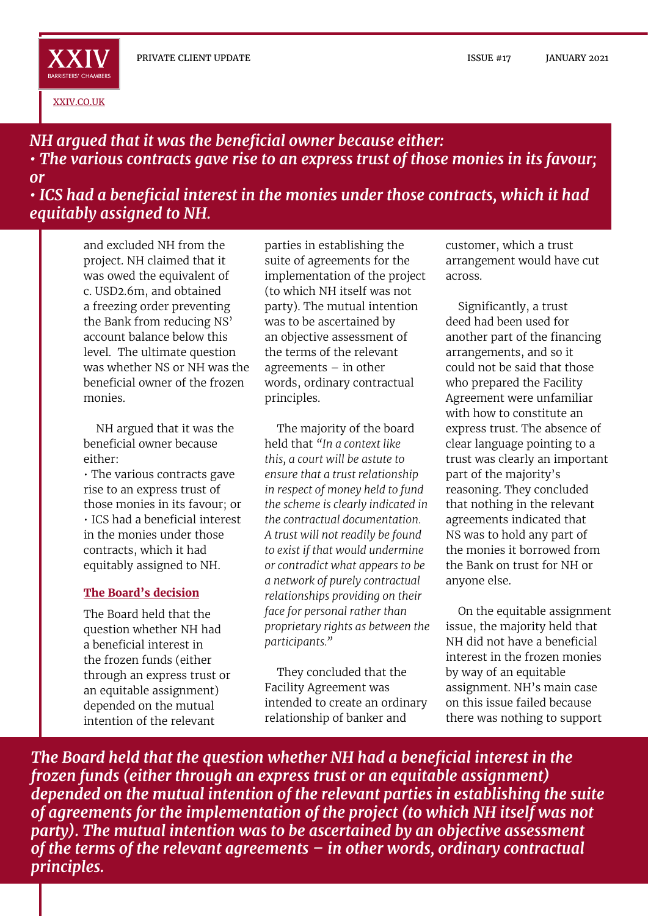XXIV BARRISTERS' CHAMBERS

[XXIV.CO.UK](http://xxiv.co.uk)

# *NH argued that it was the beneficial owner because either: • The various contracts gave rise to an express trust of those monies in its favour; or*

*• ICS had a beneficial interest in the monies under those contracts, which it had equitably assigned to NH.*

and excluded NH from the project. NH claimed that it was owed the equivalent of c. USD2.6m, and obtained a freezing order preventing the Bank from reducing NS' account balance below this level. The ultimate question was whether NS or NH was the beneficial owner of the frozen monies.

NH argued that it was the beneficial owner because either:

• The various contracts gave rise to an express trust of those monies in its favour; or • ICS had a beneficial interest in the monies under those contracts, which it had equitably assigned to NH.

## **The Board's decision**

The Board held that the question whether NH had a beneficial interest in the frozen funds (either through an express trust or an equitable assignment) depended on the mutual intention of the relevant

parties in establishing the suite of agreements for the implementation of the project (to which NH itself was not party). The mutual intention was to be ascertained by an objective assessment of the terms of the relevant agreements – in other words, ordinary contractual principles.

The majority of the board held that *"In a context like this, a court will be astute to ensure that a trust relationship in respect of money held to fund the scheme is clearly indicated in the contractual documentation. A trust will not readily be found to exist if that would undermine or contradict what appears to be a network of purely contractual relationships providing on their face for personal rather than proprietary rights as between the participants."*

They concluded that the Facility Agreement was intended to create an ordinary relationship of banker and

customer, which a trust arrangement would have cut across.

Significantly, a trust deed had been used for another part of the financing arrangements, and so it could not be said that those who prepared the Facility Agreement were unfamiliar with how to constitute an express trust. The absence of clear language pointing to a trust was clearly an important part of the majority's reasoning. They concluded that nothing in the relevant agreements indicated that NS was to hold any part of the monies it borrowed from the Bank on trust for NH or anyone else.

On the equitable assignment issue, the majority held that NH did not have a beneficial interest in the frozen monies by way of an equitable assignment. NH's main case on this issue failed because there was nothing to support

*The Board held that the question whether NH had a beneficial interest in the frozen funds (either through an express trust or an equitable assignment) depended on the mutual intention of the relevant parties in establishing the suite of agreements for the implementation of the project (to which NH itself was not party). The mutual intention was to be ascertained by an objective assessment of the terms of the relevant agreements – in other words, ordinary contractual principles.*